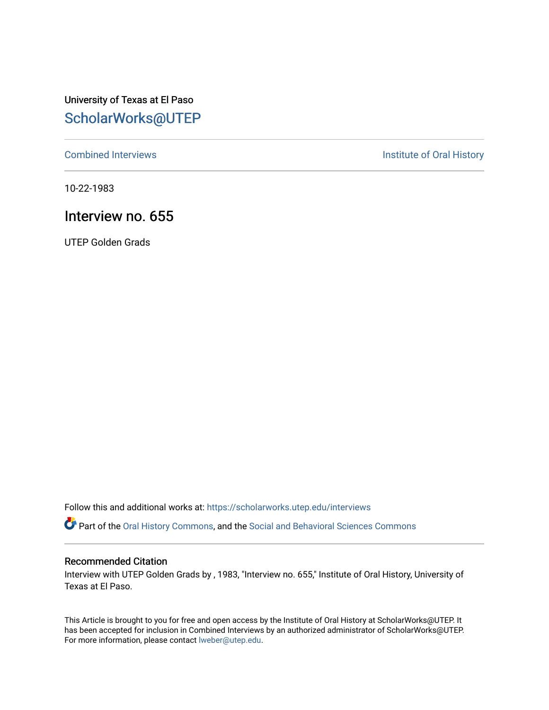University of Texas at El Paso [ScholarWorks@UTEP](https://scholarworks.utep.edu/)

[Combined Interviews](https://scholarworks.utep.edu/interviews) **Institute of Oral History** 

10-22-1983

## Interview no. 655

UTEP Golden Grads

Follow this and additional works at: [https://scholarworks.utep.edu/interviews](https://scholarworks.utep.edu/interviews?utm_source=scholarworks.utep.edu%2Finterviews%2F655&utm_medium=PDF&utm_campaign=PDFCoverPages) 

Part of the [Oral History Commons](http://network.bepress.com/hgg/discipline/1195?utm_source=scholarworks.utep.edu%2Finterviews%2F655&utm_medium=PDF&utm_campaign=PDFCoverPages), and the [Social and Behavioral Sciences Commons](http://network.bepress.com/hgg/discipline/316?utm_source=scholarworks.utep.edu%2Finterviews%2F655&utm_medium=PDF&utm_campaign=PDFCoverPages)

#### Recommended Citation

Interview with UTEP Golden Grads by , 1983, "Interview no. 655," Institute of Oral History, University of Texas at El Paso.

This Article is brought to you for free and open access by the Institute of Oral History at ScholarWorks@UTEP. It has been accepted for inclusion in Combined Interviews by an authorized administrator of ScholarWorks@UTEP. For more information, please contact [lweber@utep.edu](mailto:lweber@utep.edu).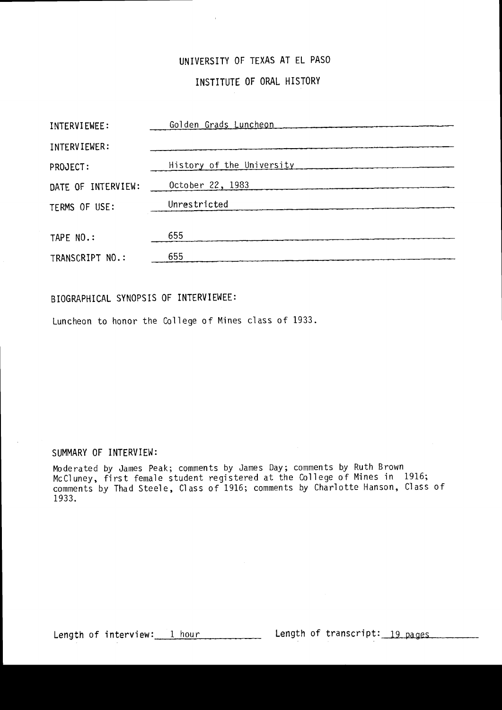# UNIVERSITY OF TEXAS AT EL PASO

## INSTITUTE OF ORAL HISTORY

| INTERVIEWEE:       | Golden Grads Luncheon     |
|--------------------|---------------------------|
| INTERVIEWER:       |                           |
| PROJECT:           | History of the University |
| DATE OF INTERVIEW: | October 22, 1983          |
| TERMS OF USE:      | Unrestricted              |
|                    |                           |
| TAPE NO.:          | 655                       |
| TRANSCRIPT NO.:    | 655                       |

## BIOGRAPHICAL SYNOPSIS OF INTERVIEWEE:

Luncheon to honor the College of Mines class of 1933.

#### SUMMARY OF INTERVIEW:

Moderated by James Peak; comments by James Day; comments by Ruth Brown McCluney, first female student registered at the College of Mines in 1916; comments by Thad Steele, Class of 1916; comments by Charlotte Hanson, Class of 1933.

Length of interview: 1 hour length of transcript: 19 pages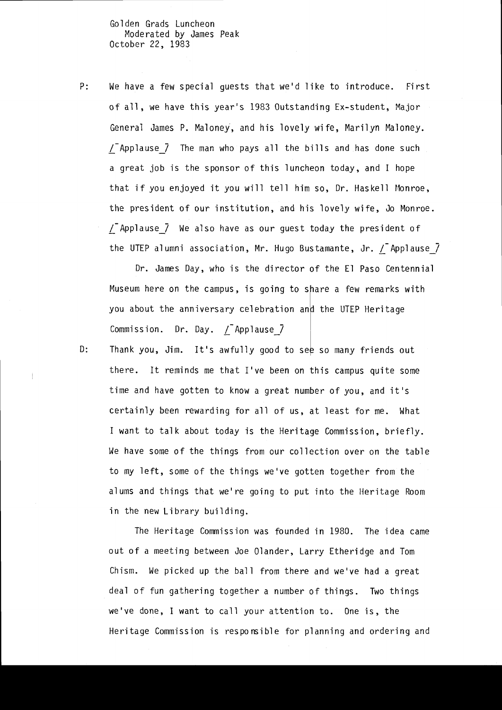Go 1 den Grads Luncheon Moderated by James Peak October 22, 1983

P: We have a few special guests that we'd like to introduce. First of all, we have this year's 1983 Outstanding Ex-student, Major General James P. Maloney, and his lovely wife, Marilyn Maloney.  $\sqrt{\ }$  Applause  $\sqrt{\ }$  The man who pays all the bills and has done such a great job is the sponsor of this luncheon today, and I hope that if you enjoyed it you will tell him so, Dr. Haskell Monroe, the president of our institution, and his lovely wife, Jo Monroe.  $\sqrt{ }$  Applause $\sqrt{ }$  We also have as our guest today the president of the UTEP alumni association, Mr. Hugo Bustamante, Jr.  $\sqrt{\ }$  Applause $\sqrt{\ }$ 

Dr. James Day, who is the director of the El Paso Centennial Museum here on the campus, is going to share a few remarks with you about the anniversary celebration and the UTEP Heritage Commission. Dr. Day.  $\sqrt{ }$  Applause  $\sqrt{ }$ 

Thank you, Jim. It's awfully good to see so many friends out there. It reminds me that I've been on this campus quite some time and have gotten to know a great number of you, and it's certainly been rewarding for all of us, at least for me. What I want to talk about today is the Heritage Commission, briefly. We have some of the things from our collection over on the table to my left, some of the things we've gotten together from the alums and things that we're going to put into the Heritage Room in the new Library building.

The Heritage Commission was founded in 1980. The idea came out of a meeting between Joe Olander, Larry Etheridge and Tom Chism. We picked up the ball from there and we've had a great deal of fun gathering together a number of things. Two things we've done, I want to call your attention to. One is, the Heritage Commission is responsible for planning and ordering and

0: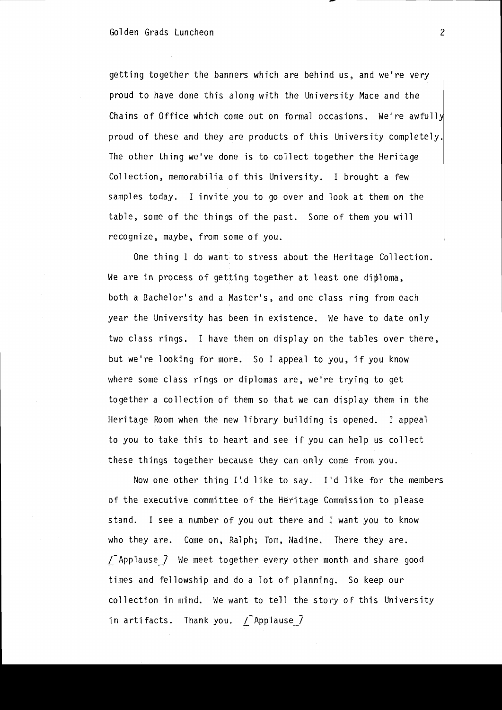getting together the banners which are behind us, and we're very proud to have done this along with the University Mace and the Chains of Office which come out on formal occasions. We're awfully proud of these and they are products of this University completely. The other thing we've done is to collect together the Heritage Collection, memorabilia of this University. I brought a few samples today. I invite you to go over and look at them on the table, some of the things of the past. Some of them you will recognize, maybe, from some of you.

One thing I do want to stress about the Heritage Collection. We are in process of getting together at least one diploma, both a Bachelor's and a Master's, and one class ring from each year the University has been in existence. We have to date only two class rings. I have them on display on the tables over there, but we're looking for more. So I appeal to you, if you know where some class rings or diplomas are, we're trying to get together a collection of them so that we can display them in the Heritage Room when the new library building is opened. I appeal to you to take this to heart and see if you can help us collect these things together because they can only come from you.

Now one other thing I'.d like to say. I'd like for the members of the executive committee of the Heritage Commission to please stand. I see a number of you out there and I want you to know who they are. Come on, Ralph; Tom, Nadine. There they are.  $\sqrt{\ }$  Applause  $\sqrt{\ }$  We meet together every other month and share good times and fellowship and do a lot of planning. So keep our collection in mind. We want to tell the story of this University in artifacts. Thank you.  $\sqrt{\ }$  Applause  $\vec{J}$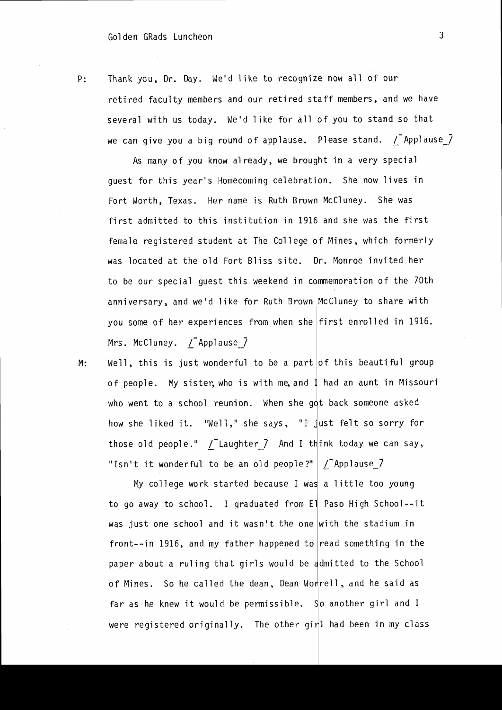P: Thank you, Dr. Day. We'd like to recognize now all of our retired faculty members and our retired staff members, and we have several with us today. We'd like for all of you to stand so that we can give you a big round of applause. Please stand.  $\sqrt{\phantom{a}}$  Applause $\sqrt{\phantom{a}}$ 

As many of you know already, we brought in a very special guest for this year's Homecoming celebration. She now lives in Fort Worth, Texas. Her name is Ruth Brown McCluney. She was first admitted to this institution in 1916 and she was the first female registered student at The Coll ege of Mines, which formerly was located at the old Fort Bliss site. Dr. Monroe invited her to be our special guest this weekend in commemoration of the 70th anniversary, and we'd like for Ruth Brown McCluney to share with you some of her experiences from when she first enrolled in 1916. Mrs. McCluney. *[Applause]* 

M: Well, this is just wonderful to be a part of this beautiful group of people. My sister, who is with me, and I had an aunt in Missouri who went to a school reunion. When she got back someone asked how she liked it. "Well," she says, "F  $\frac{1}{4}$ ust felt so sorry for those old people."  $\sqrt{\phantom{a}}$  Laughter $\phantom{a}$  and I think today we can say, "Isn't it wonderful to be an old people?"  $\boxed{\phantom{a}}$   $\boxed{\phantom{a}}$  Applause  $\boxed{\phantom{a}}$ 

My college work started because I was a little too young to go away to school. I graduated from El Paso High School--it was just one school and it wasn't the one  $\vert$  with the stadium in front--in 1916, and my father happened to read something in the paper about a ruling that girls would be admitted to the School of Mines. So he called the dean, Dean Worrell, and he said as far as he knew it would be permissible. So another girl and I were registered originally. The other gir<mark>l had been in my class</mark>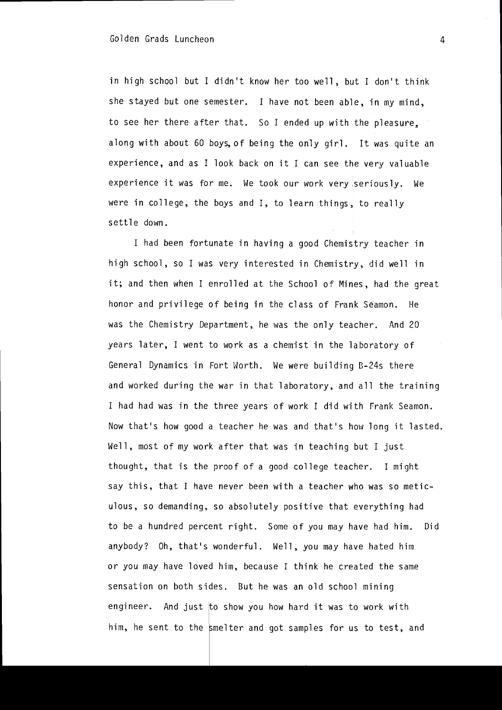in high school but I didn't know her too well, but I don't think she stayed but one semester. I have not been able, in my mind, to see her there after that. So I ended up with the pleasure, along with about 60 boys, of being the only girl. It was quite an experience, and as I look back on it I can see the very valuable experience it was for me. We took our work very seriously. We were in college, the boys and I, to learn things, to really settle down.

I had been fortunate in having a good Chemistry teacher in high school, so I was very interested in Chemistry, did well in it; and then when I enrolled at the School of Mines, had the great honor and privilege of being in the class of Frank Seamon. He was the Chemistry Department, he was the only teacher. And 20 years later, I went to work as a chemist in the laboratory of General Dynamics in Fort Worth. We were building B-24s there and worked during the war in that laboratory. and all the training I had had was in the three years of work I did with Frank Seamon. Now that's how good a teacher he was and that's how long it lasted. Well, most of my work after that was in teaching but I just thought, that is the proof of a good college teacher. I might say this, that I have never been with a teacher who was so meticulous, so demanding, so absolutely positive that everything had to be a hundred percent right. Some of you may have had him. Did anybody? Oh, that's wonderful. Well. you may have hated him or you may have loved him. because I think he created the same sensation on both sides. But he was an old school mining engineer. And just  $\sharp$ o show you how hard it was to work with him, he sent to the smelter and got samples for us to test, and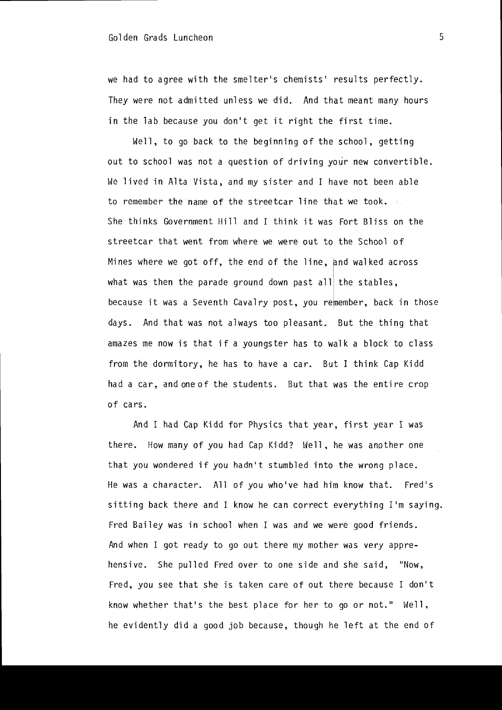we had to agree with the smelter's chemists' results perfectly. They were not admitted unless we did. And that meant many hours in the lab because you don't get it right the first time.

Well, to go back to the beginning of the school, getting out to school was not a question of driving your new convertible. We lived in Alta Vista, and my sister and I have not been able to remember the name of the streetcar line that we took. She thinks Government Hill and I think it was Fort Bliss on the streetcar that went from where we were out to the School of Mines where we got off, the end of the line, and walked across what was then the parade ground down past all $|$  the stables, because it was a Seventh Cavalry post, you remember, back in those days. And that was not always too pleasant. But the thing that amazes me now is that if a youngster has to walk a block to class from the dormitory, he has to have a car. But I think Cap Kidd had a car, and one of the students. But that was the entire crop of cars.

And I had Cap Kidd for Physics that year, first year I was there. How many of you had Cap Kidd? Well. he was another one that you wondered if you hadn't stumbled into the wrong place. He was a character. All of you who've had him know that. Fred's sitting back there and I know he can correct everything I'm saying. Fred Bailey was in school when I was and we were good friends. And when I got ready to go out there my mother was very apprehensive. She pulled Fred over to one side and she said, "Now, Fred, you see that she is taken care of out there because I don't know whether that's the best place for her to go or not." Well, he evidently did a good job because, though he left at the end of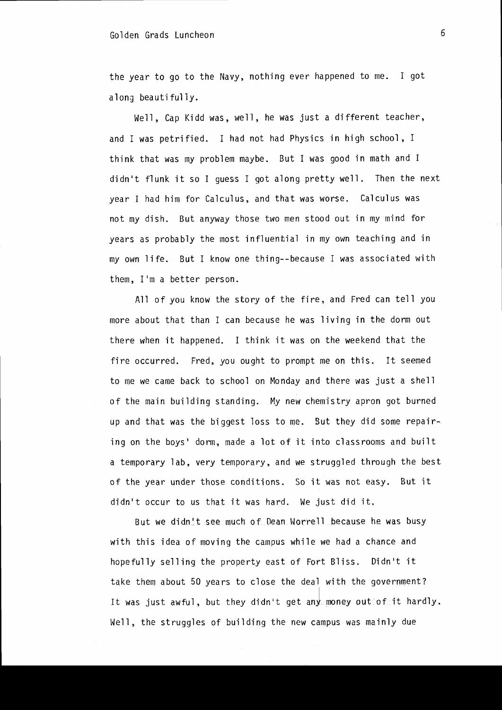### Golden Grads Luncheon 6

the year to go to the Navy, nothing ever happened to me. I got along beautifully.

Well, Cap Kidd was, well, he was just a different teacher, and I was petrified. I had not had Physics in high school, I think that was my problem maybe. But I was good in math and I didn't flunk it so I guess I got along pretty well. Then the next year I had him for Calculus, and that was worse. Calculus was not my dish. But anyway those two men stood out in my mind for years as probably the most influential in my own teaching and in my own life. But I know one thing--because I was associated with them, I'm a better person.

All of you know the story of the fire, and Fred can tell you more about that than I can because he was living in the dorm out there when it happened. I think it was on the weekend that the fire occurred. Fred, you ought to prompt me on this. It seemed to me we came back to school on Monday and there was just a shell of the main building standing. My new chemistry apron got burned up and that was the biggest loss to me. But they did some repairing on the boys' dorm, made a lot of it into classrooms and built a temporary lab. very temporary. and we struggled through the best of the year under those conditions. So it was not easy. But it didn't occur to us that it was hard. We just did it.

But we didn't see much of Dean Worrell because he was busy with this idea of moving the campus while we had a chance and hopefully selling the property east of Fort Bliss. Didn't it take them about 50 years to close the deal with the government? It was just awful, but they didn't get any money out of it hardly. Well. the struggles of building the new campus was mainly due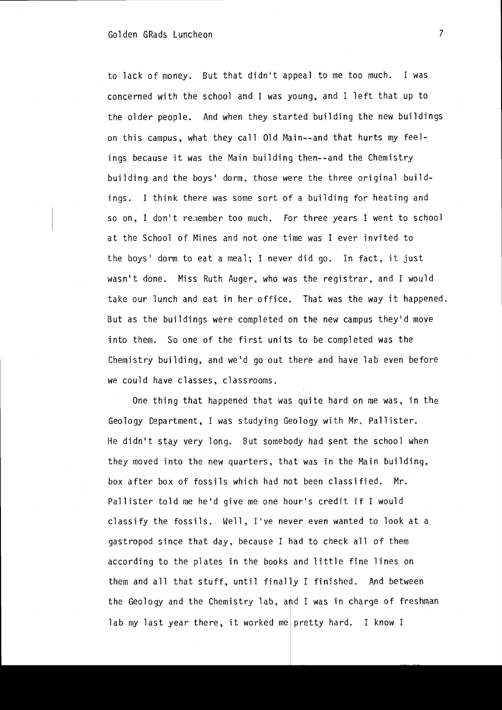#### Golden GRads Luncheon 7

to lack of money. But that didn't appeal to me too much. I was concerned with the school and I was young, and I left that up to the older people. And when they started building the new buildings on this campus, what they call Old Main--and that hurts my feelings because it was the Main building then--and the Chemistry building and the boys' dorm, those were the three original buildings. I think there was some sort of a building for heating and so on, I don't remember too much. For three years I went to school at the School of Mines and not one time was I ever invited to the boys' dorm to eat a meal; I never did go. In fact, it just wasn't done. Miss Ruth Auger, who was the registrar, and I would take our lunch and eat in her office. That was the way it happened. But as the buildings were completed on the new campus they'd move into them. So one of the first units to be completed was the Chemistry building, and we'd go out there and have lab even before we could have classes, classrooms.

One thing that happened that was quite hard on me was, in the Geology Department, I was studying Geology with Mr. Pallister. He didn't stay very long. But somebody had sent the school when they moved into the new quarters. that was in the Main Duilding, box after box of fossils which had not been classified. Mr. Pallister told me he'd give me one hour's credit if I would classify the fossils. Well, I've never even wanted to look at a gastropod since that day, because I had to check all of them according to the plates in the books and little fine lines on them and all that stuff, until finally I finished. And between the Geology and the Chemistry lab, and I was in charge of freshman lab my last year there, it worked me pretty hard. I know I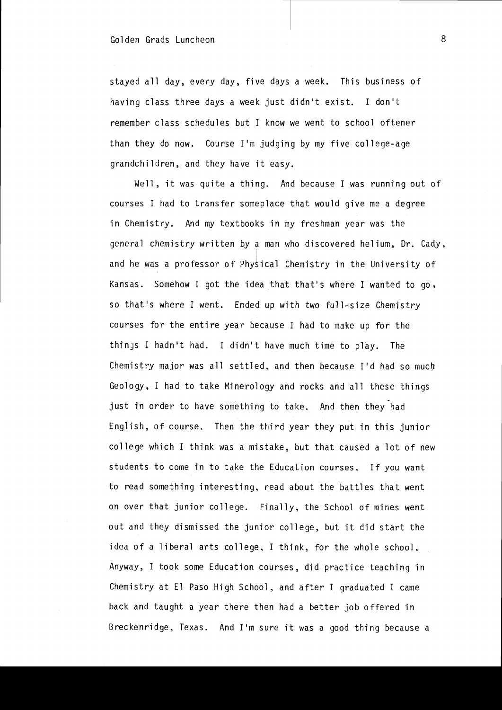stayed all day, every day, five days a week. This business of having class three days a week just didn't exist. I don't remember class schedules but I know we went to school oftener than they do now. Course 1'm judging by my five college-age grandchildren, and they have it easy.

Well, it was quite a thing. And because I was running out of courses I had to transfer someplace that would give me a degree in Chemistry. And my textbooks in my freshman year was the general chemistry written by a man who discovered helium. Dr. Cady, and he was a professor of Physical Chemistry in the University of Kansas. Somehow I got the idea that that's where I wanted to go. so that's where I went. Ended up with two full-size Chemistry courses for the entire year because I had to make up for the things I hadn't had. I didn't have much time to play. The Chemistry major was all settled, and then because I'd had so much Geology, I had to take Minerology and rocks and all these things just in order to have something to take. And then they had English, of course. Then the third year they put in this junior college which I think was a mistake. but that caused a lot of new students to come in to take the Education courses. If you want to read something interesting, read about the battles that went on over that junior college. Finally, the School of mines went out and they dismissed the junior college. but it did start the idea of a liberal arts college, I think, for the whole school. Anyway, I took some Education courses, did practice teaching in Chemistry at El Paso High School. and after I graduated I came back and taught a year there then had a better job offered in Breckenridge, Texas. And I'm sure it was a good thing because a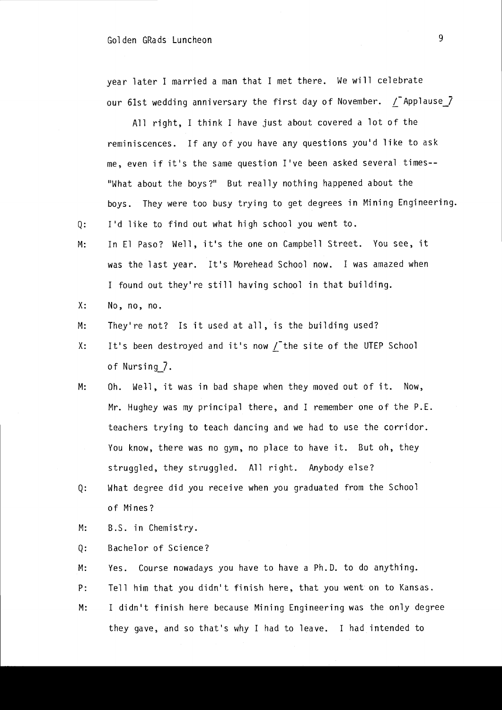#### Golden GRads Luncheon 9

year later I married a man that I met there. We will celebrate our 61st wedding anniversary the first day of November.  $\int$  Applause  $\int$ 

All right, I think I have just about covered a lot of the reminiscences. If any of you have any questions you'd like to ask me, even if it's the same question I've been asked several times-- "What about the boys?" But really nothing happened about the boys. They were too busy trying to get degrees in Mining Engineering.

Q: I'd like to find out what high school you went to.

- M: In El Paso? Well, it's the one on Campbell Street. You see, it was the last year. It's Morehead School now. I was amazed when I found out they're still having school in that building.
- X: No, no, no.
- M: They're not? Is it used at all, is the building used?
- X: It's been destroyed and it's now / the site of the UTEP School of Nursing\_7.
- M: Oh. Well, it was in bad shape when they moved out of it. Now, Mr. Hughey was my principal there, and I remember one of the P.E. teachers trying to teach dancing and we had to use the corridor. You know, there was no gym, no place to have it. But oh, they struggled, they struggled. All right. Anybody else?
- Q: What degree did you receive when you graduated from the School of Mi nes?
- M: B.S. in Chemistry.
- Q: Bachelor of Science?
- M: Yes. Course nowadays you have to have a Ph.D. to do anything.
- P: Tell him that you didn't finish here, that you went on to Kansas.
- M: I didn't finish here because Mining Engineering was the only degree they gave, and so that's why I had to leave. I had intended to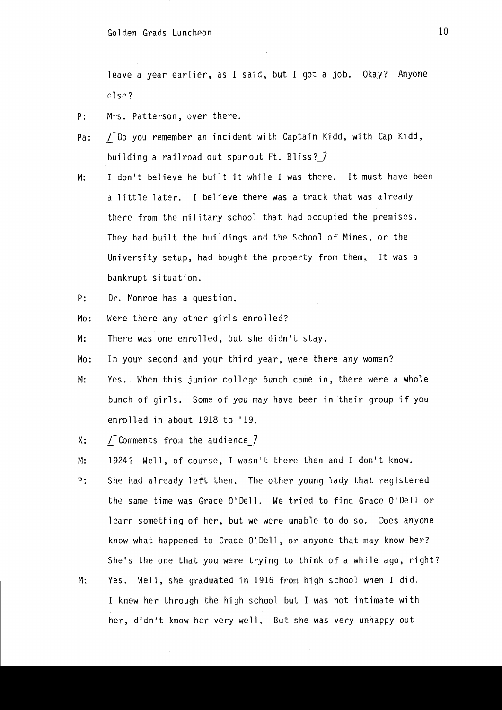leave a year earlier, as I said, but I got a job. Okay? Anyone el se?

- P: Mrs. Patterson, over there.
- Pa: / Do you remember an incident with Captain Kidd, with Cap Kidd, building a railroad out spurout Ft. Bliss? 7
- M: I don't believe he built it while I was there. It must have been a little later. I believe there was a track that was already there from the military school that had occupied the premises. They had built the buildings and the School of Mines, or the University setup, had bought the property from them. It was a bankrupt situation.
- P: Dr. Monroe has a question.
- Mo: Were there any other girls enrolled?
- M: There was one enrolled, but she didn't stay.
- Mo: In your second and your third year, were there any women?
- M: Yes. When this junior college bunch came in, there were a whole bunch of girls. Some of you may have been in their group if you enrolled in about 1918 to '19.
- $X:$  / Comments from the audience  $\overline{Z}$
- M: 1924? Well, of course, I wasn't there then and I don't know.
- p: She had already left then. The other young lady that registered the same time was Grace O'Dell. We tried to find Grace O'Dell or learn something of her, but we were unable to do so. Does anyone know what happened to Grace O'Dell, or anyone that may know her? She's the one that you were trying to think of a while ago, right?
- M: Yes. Well, she graduated in 1916 from high school when I did. I knew her through the high school but I was not intimate with her, didn't know her very well. But she was very unhappy out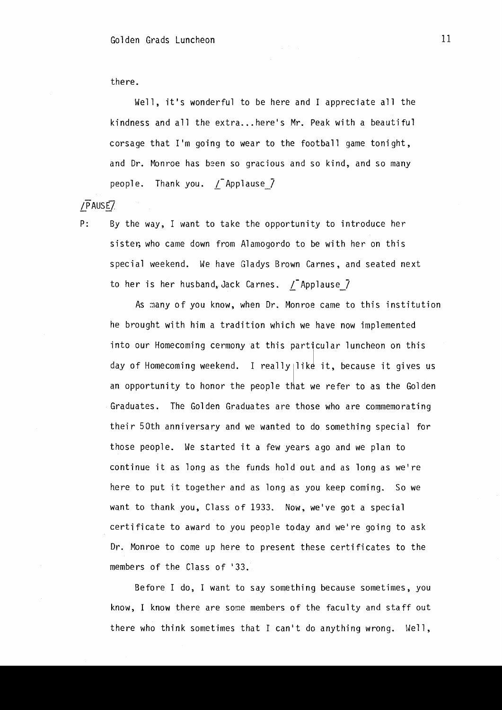there.

Well, it's wonderful to be here and I appreciate all the kindness and all the extra... here's Mr. Peak with a beautiful corsage that I'm going to wear to the football game tonight, and Dr. Monroe has been so gracious and so kind, and so many people. Thank you.  $/$  Applause  $\overline{}/$ 

 $\sqrt{P}$ AUSE $\sqrt{P}$ 

P: By the way, I want to take the opportunity to introduce her sister, who came down from Alamogordo to be with her on this special weekend. We have Gladys Brown Carnes, and seated next to her is her husband, Jack Carnes.  $/$  Applause  $7$ 

As many of you know, when Dr. Monroe came to this institution he brought with him a tradition which we have now implemented into our Homecoming cermony at this particular luncheon on this day of Homecoming weekend. I really like it, because it gives us an opportunity to honor the people that we refer to as the Golden Graduates. The Golden Graduates are those who are commemorating their 50th anniversary and we wanted to do something special for those people. We started it a few years ago and we plan to continue it as long as the funds hold out and as long as we're here to put it together and as long as you keep coming. So we want to thank you, Class of 1933. Now, we've got a special certificate to award to you people today and we're going to ask Dr. Monroe to come up here to present these certificates to the members of the Class of '33.

Before I do, I want to say something because sometimes, you know, I know there are some members of the faculty and staff out there who think sometimes that I can't do anything wrong. Well,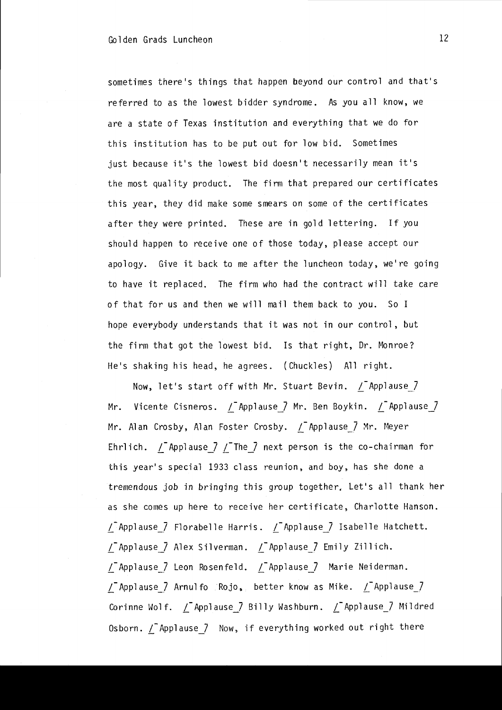sometimes there's things that happen beyond our control and that's referred to as the lowest bidder syndrome. As you all know, we are a state of Texas institution and everything that we do for this institution has to be put out for low bid. Sometimes just because it's the lowest bid doesn't necessarily mean it's the most quality product. The firm that prepared our certificates this year, they did make some smears on some of the certificates after they were printed. These are in gold lettering. If you should happen to receive one of those today, please accept our apology. Give it back to me after the luncheon today, we're going to have it replaced. The firm who had the contract will take care of that for us and then we will mail them back to you. So I hope everybody understands that it was not in our control, but the firm that got the lowest bid. Is that right, Dr. Monroe? He's shaking his head, he agrees. (Chuckles) All right.

Now, let's start off with Mr. Stuart Bevin.  $\angle$  Applause<sub>7</sub> Mr. Vicente Cisneros.  $\angle$ Applause<sub>7</sub> Mr. Ben Boykin.  $\angle$ Applause<sub>7</sub> Mr. Alan Crosby, Alan Foster Crosby. *L*-Applause<sub>\_</sub>7 Mr. Meyer Ehrlich.  $\angle$ -Applause<sub>-7</sub>  $\angle$ -The<sub>-7</sub> next person is the co-chairman for this year's special 1933 class reunion, and boy, has she done a tremendous job in bringing this group together. Let's all thank her as she comes up here to receive her certificate, Charlotte Hanson.  $\angle$ -Applause<sub>--</sub>7 Florabelle Harris.  $\angle$ -Applause<sub>--</sub>7 Isabelle Hatchett.  $\angle$  Applause  $\angle$  Alex Silverman.  $\angle$  Applause  $\angle$  Emily Zillich. L-Applause\_7 Leon Rosenfeld. L-Applause\_7 Marie Neiderman.  $\angle$  Applause<sub>\_</sub>7 Arnul fo Rojo, better know as Mike.  $\angle$  Applause\_7 Corinne Wolf. *L*-Applause<sub>\_7</sub> Billy Washburn. *L*-Applause\_7 Mildred Osborn.  $\angle$ -Applause<sub>-7</sub> Now, if everything worked out right there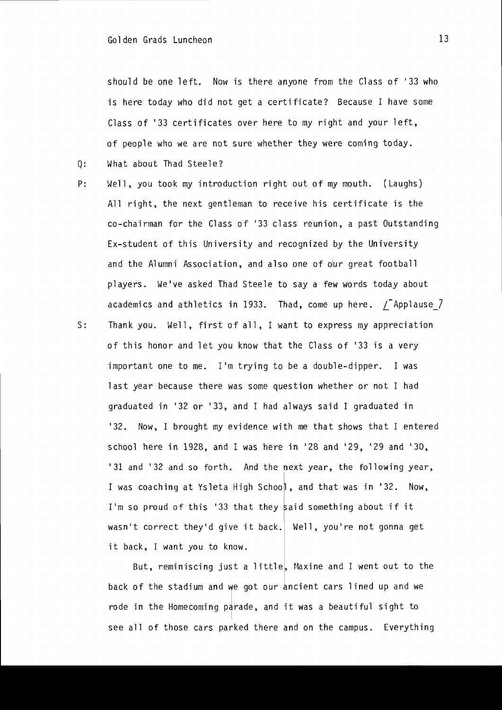should be one left. Now is there anyone from the Class of '33 who is here today who did not get a certificate? Because I have some Class of '33 certificates over here to my right and your left, of people who we are not sure whether they were coming today.

- Q: What about Thad Steele?
- P: Well, you took my introduction right out of my mouth. (Laughs) All right, the next gentleman to receive his certificate is the co-chairman for the Class of '33 class reunion, a past Outstanding Ex-student of this University and recognized by the University and the Alumni Association, and also one of olur great football players. We've asked Thad Steele to say a few words today about academics and athletics in 1933. Thad, come up here.  $\sqrt{\ }$  Applause  $\sqrt{\ }$ S: Thank you. Well, first of all, I want to express my appreciation of this honor and let you know that the Class of '33 is a very important one to me. I'm trying to be a double-dipper. I was last year because there was some question whether or not I had graduated in '32 or '33, and I had always said I graduated in '32. Now, I brought my evidence with me that shows that I entered school here in 1928, and I was here in '28 and '29, '29 and '3D, '31 and '32 and so forth. And the next year, the following year, I was coaching at Ysleta High School, and that was in '32. Now, I'm so proud of this '33 that they said something about if it

wasn't correct they'd give it back. Well, you're not gonna get it back, I want you to know.

But, reminiscing just a little, Maxine and I went out to the back of the stadium and we got our ancient cars lined up and we rode in the Homecoming parade, and it was a beautiful sight to see all of those cars parked there and on the campus. Everything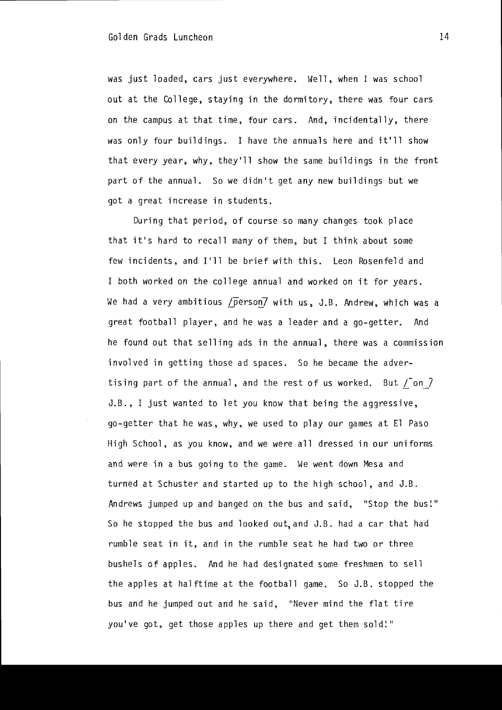was just loaded, cars just everywhere. Well, when I was school out at the College, staying in the dormitory, there was four cars on the campus at that time, four cars. And, incidentally, there was only four buildings. I *have* the annuals here and it'll show that *every* year, why. they'll show the same buildings in the front part of the annual. So we didn't get any new buildings but we got a great increase in students.

During that period, of course so many changes took place that it's hard to recall many of them, but I think about some few incidents, and 1111 be brief with this. Leon Rosenfeld and I both worked on the college annual and worked on it for years. We had a very ambitious /person/ with us, J.B. Andrew. which was a great football player, and he was a leader and a go-getter. And he found out that selling ads in the annual, there was a commission *involved* in getting those ad spaces. So he became the *adver*tising part of the annual, and the rest of us worked. But / on 7 J.B., I just wanted to let you know that being the aggressive, go-getter that he was, why, we used to play our games at El Paso High School, as you know, and we were all dressed in our uniforms and were in a bus going to the game. We went down Mesa and turned at Schuster and started up to the high school, and J.B. Andrews jumped up and banged on the bus and said, "Stop the bus!" So he stopped the bus and looked out,and J.B. had a car that had rumble seat in it, and in the rumble seat he had two or three bushels of apples. And he had designated some freshmen to sell the apples at halftime at the football game. So J.B. stopped the bus and he jumped out and he said, "Never mind the flat tire you've got, get those apples up there and get them sold!"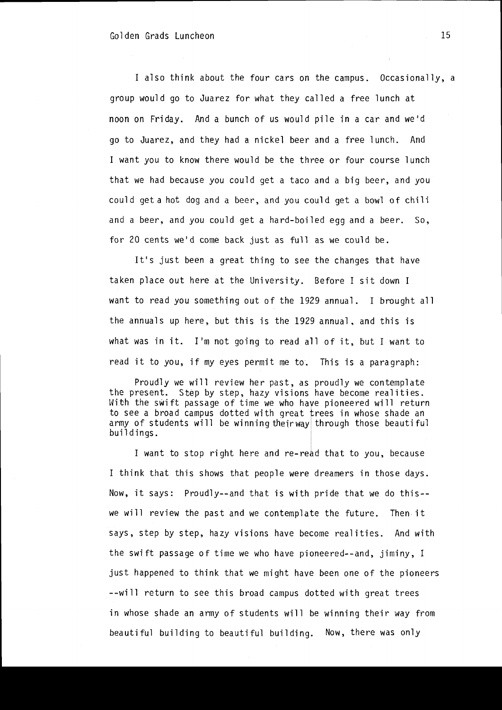I also think about the four cars on the campus. Occasionally, a group would go to Juarez for what they called a free lunch at noon on Friday. And a bunch of us would pile in a car and we'd go to Juarez. and they had a nickel beer and a free lunch. And I want you to know there would be the three or four course lunch that we had because you could get a taco and a big beer, and you could get a hot dog and a beer, and you could get a bowl of chili and a beer, and you could get a hard-boiled egg and a beer. So, for 20 cents we'd come back just as full as we could be.

It's just been a great thing to see the changes that have taken place out here at the University. Before I sit down I want to read you something out of the 1929 annual. I brought all the annuals up here. but this is the 1929 annual. and this is what was in it. I'm not going to read all of it. but I want to read it to you, if my eyes permit me to. This is a paragraph:

Proudly we will review her past, as proudly we contemplate the present. Step by step, hazy visions have become realities. With the swift passage of time we who have pioneered will return to see a broad campus dotted with great trees in whose shade an army of students will be winning their way through those beautiful buildings.

I I want to stop right here and re-read that to you, because I think that this shows that people were dreamers in those days. Now, it says: Proudly--and that is with pride that we do this- we will review the past and we contemplate the future. Then it says, step by step, hazy visions have become realities. And with the swift passage of time we who have pioneered--and. jiminy, I just happened to think that we might have been one of the pioneers --will return to see this broad campus dotted with great trees in whose shade an army of students will be winning their way from beautiful building to beautiful building. Now, there was only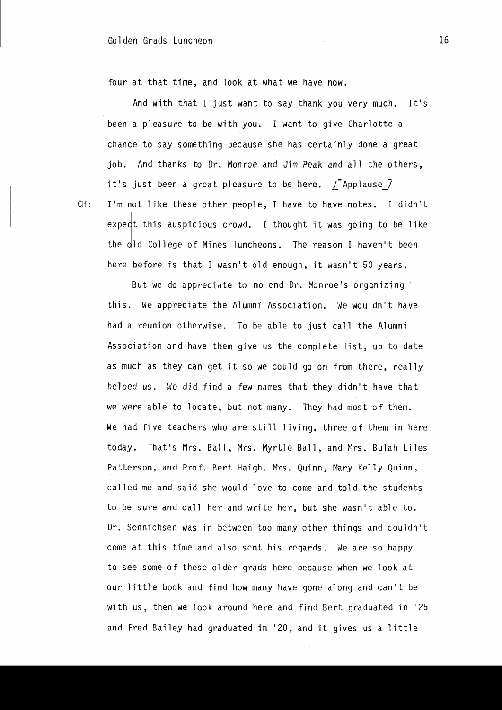four at that time, and look at what we have now.

And with that I just want to say thank you very much. It's been a pleasure to be with you. I want to give Charlotte a chance to say something because she has certainly done a great job. And thanks to Dr. Monroe and Jim Peak and all the others, it's just been a great pleasure to be here.  $/$ -Applause  $\overline{1}$ 

CH: I'm not like these other people, I have to have notes. I didn't I expect this auspicious crowd. I thought it was going to be like the old College of Mines luncheons. The reason I haven't been here before is that I wasn't old enough, it wasn't 50 years.

But we do appreciate to no end Dr. Monroe's organizing this. We appreciate the Alumni Association. We wouldn't have had a reunion otherwise. To be able to just call the Alumni Association and have them give us the complete list, up to date as much as they can get it so we could go on from there, really helped us. We did find a few names that they didn't have that we were able to locate, but not many. They had most of them. We had five teachers who are still living, three of them in here today. That's Mrs. Ball, Mrs. Myrtle Ball, and Mrs. Bulah Liles Patterson, and Prof. Bert Haigh. Mrs. Quinn, Mary Kelly Quinn, called me and said she would love to come and told the students to be sure and call her and write her, but she wasn't able to. Dr. Sonnichsen was in between too many other things and couldn't come at this time and also sent his regards. We are so happy to see some of these older grads here because when we look at our little book and find how many have gone along and can't be with us, then we look around here and find Bert graduated in '25 and Fred Bailey had graduated in '20, and it gives us a little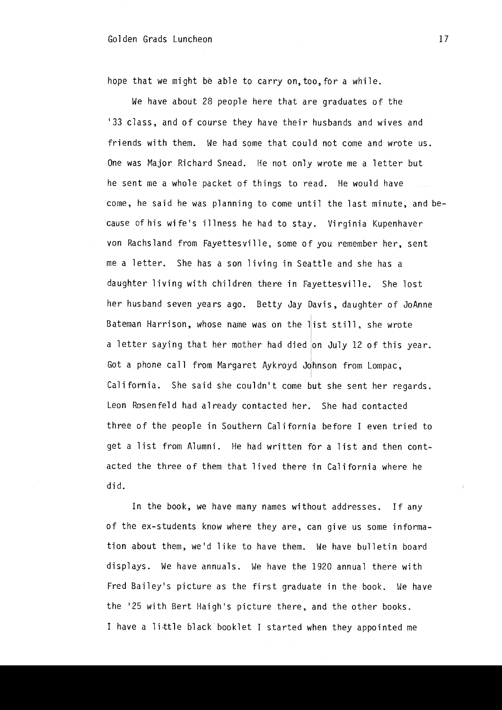#### Golden Grads Luncheon 17

hope that we might be able to carry on, too, for a while.

We have about 28 people here that are graduates of the 133 class, and of course they have their husbands and wives and friends with them. We had some that could not come and wrote us. One was Major Richard Snead. He not only wrote me a letter but he sent me a whole packet of things to read. He would have come, he said he was planning to come until the last minute, and because of his wife's illness he had to stay. Virginia Kupenhaver von Rachsland from Fayettesville. some of you remember her, sent me a letter. She has a son living in Seattle and she has a daughter living with children there in Fayettesville. She lost her husband seven years ago. Betty Jay Davis, daughter of JoAnne Bateman Harrison, whose name was on the list still, she wrote a letter saying that her mother had died on July 12 of this year. I Got a phone call from Margaret Aykroyd Johnson from Lompac, California. She said she couldn't come but she sent her regards. Leon Rosenfeld had already contacted her. She had contacted three of the people in Southern California before I even tried to get a list from Alumni. He had written for a list and then contacted the three of them that lived there in California where he di d.

In the book, we have many names without addresses. If any of the ex-students know where they are, can give us some information about them, weld like to have them. We have bulletin board displays. We have annuals. We have the 1920 annual there with Fred Bailey's picture as the first graduate in the book. We have the '25 with Bert Haigh's picture there, and the other books. I have a little black booklet I started when they appointed me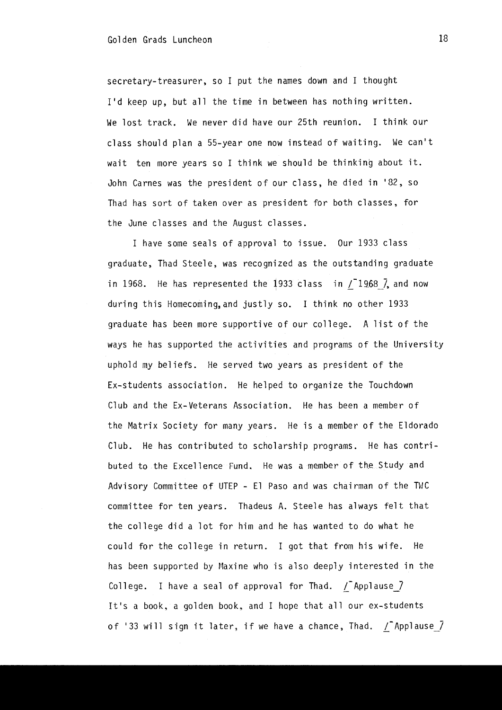secretary-treasurer, so I put the names down and I thought I'd keep up, but all the time in between has nothing written. We lost track. We never did have our 25th reunion. I think our class should plan a 55-year one now instead of waiting. We can't wait ten more years so I think we should be thinking about it. John Carnes was the president of our class, he died in '82, so Thad has sort of taken over as president for both classes, for the June classes and the August classes.

I have some seals of approval to issue. Our 1933 class graduate. Thad Steele, was recognized as the outstanding graduate in 1968. He has represented the 1933 class in  $/$ 1968  $\bar{7}$ , and now during this Homecoming,and justly so. I think no other 1933 graduate has been more supportive of our college. A list of the ways he has supported the activities and programs of the University uphold my beliefs. He served two years as president of the Ex-students association. He helped to organize the Touchdown Club and the Ex-Veterans Association. He has been a member of the Matrix Society for many years. He is a member of the Eldorado Club. He has contributed to scholarship programs. He has contributed to the Excellence Fund. He was a member of the Study and Advisory Committee of UTEP - El Paso and was chairman of the TWC committee for ten years. Thadeus A. Steele has always felt that the college did a lot for him and he has wanted to do what he could for the college in return. I got that from his wife. He has been supported by Maxine who is also deeply interested in the College. I have a seal of approval for Thad.  $\sqrt{2}$  Applause  $\sqrt{2}$ It's a book, a golden book, and I hope that all our ex-students of '33 will sign it later, if we have a chance, Thad.  $\sqrt{\ }$  Applause $\sqrt{\ }$